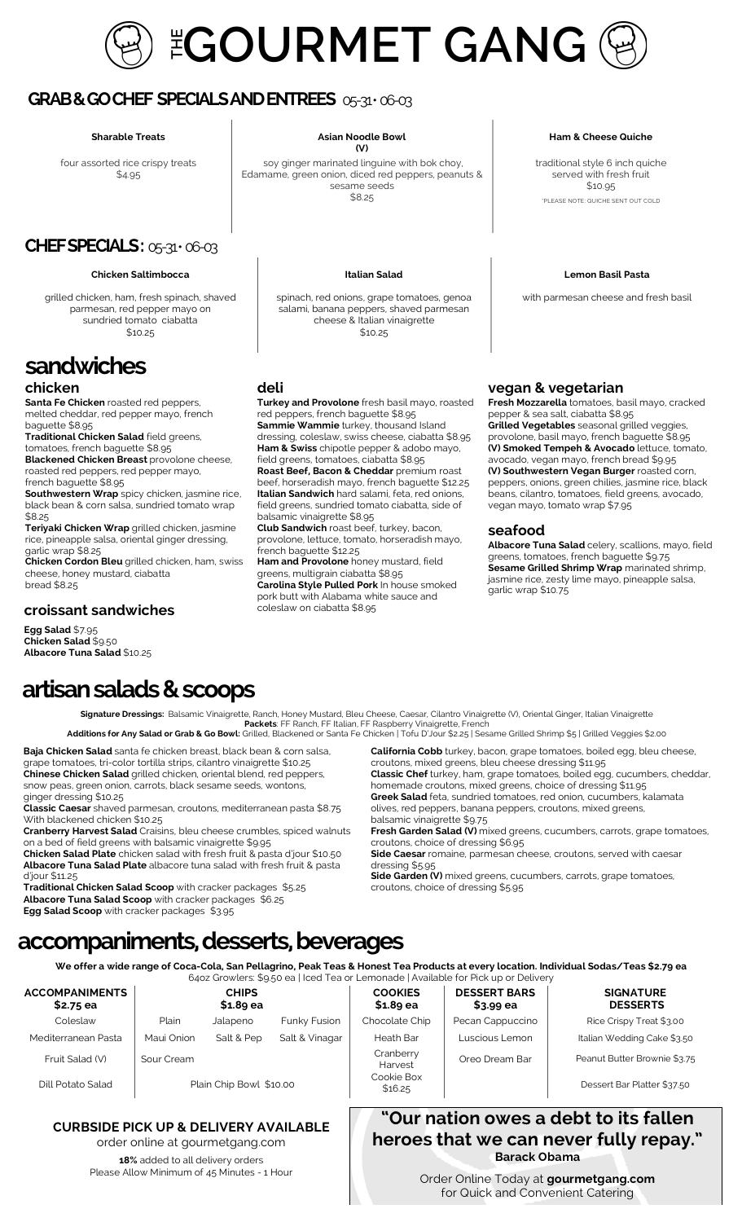

## **GRAB & GO CHEF SPECIALS AND ENTREES** 05-31 • 06-03

four assorted rice crispy treats \$4.95

## **CHEF SPECIALS: 05-31 • 06-03**

#### **Chicken Saltimbocca Italian Salad Lemon Basil Pasta**

grilled chicken, ham, fresh spinach, shaved parmesan, red pepper mayo on sundried tomato ciabatta \$10.25

# **sandwiches**

### **chicken**

**Santa Fe Chicken** roasted red peppers, melted cheddar, red pepper mayo, french baguette \$8.95

**Traditional Chicken Salad** field greens, tomatoes, french baguette \$8.95 **Blackened Chicken Breast** provolone cheese, roasted red peppers, red pepper mayo,

french baguette \$8.95

**Southwestern Wrap** spicy chicken, jasmine rice, black bean & corn salsa, sundried tomato wrap \$8.25

**Teriyaki Chicken Wrap** grilled chicken, jasmine rice, pineapple salsa, oriental ginger dressing, garlic wrap \$8.25

**Chicken Cordon Bleu** grilled chicken, ham, swiss cheese, honey mustard, ciabatta bread \$8.25

### **croissant sandwiches**

**Egg Salad** \$7.95 **Chicken Salad** \$9.50 **Albacore Tuna Salad** \$10.25

#### **Sharable Treats Asian Noodle Bowl (V)**

soy ginger marinated linguine with bok choy, Edamame, green onion, diced red peppers, peanuts & sesame seeds \$8.25

spinach, red onions, grape tomatoes, genoa salami, banana peppers, shaved parmesan cheese & Italian vinaigrette \$10.25

#### **deli**

**Turkey and Provolone** fresh basil mayo, roasted red peppers, french baguette \$8.95 **Sammie Wammie** turkey, thousand Island dressing, coleslaw, swiss cheese, ciabatta \$8.95 **Ham & Swiss** chipotle pepper & adobo mayo, field greens, tomatoes, ciabatta \$8.95 **Roast Beef, Bacon & Cheddar** premium roast beef, horseradish mayo, french baguette \$12.25 **Italian Sandwich** hard salami, feta, red onions, field greens, sundried tomato ciabatta, side of balsamic vinaigrette \$8.95

**Club Sandwich** roast beef, turkey, bacon, provolone, lettuce, tomato, horseradish mayo, french baguette \$12.25

**Ham and Provolone** honey mustard, field greens, multigrain ciabatta \$8.95 **Carolina Style Pulled Pork** In house smoked pork butt with Alabama white sauce and coleslaw on ciabatta \$8.95

#### **Ham & Cheese Quiche**

traditional style 6 inch quiche served with fresh fruit \$10.95 \*PLEASE NOTE: QUICHE SENT OUT COLD

with parmesan cheese and fresh basil

### **vegan & vegetarian**

**Fresh Mozzarella** tomatoes, basil mayo, cracked pepper & sea salt, ciabatta \$8.95 **Grilled Vegetables** seasonal grilled veggies, provolone, basil mayo, french baguette \$8.95 **(V) Smoked Tempeh & Avocado** lettuce, tomato, avocado, vegan mayo, french bread \$9.95 **(V) Southwestern Vegan Burger** roasted corn, peppers, onions, green chilies, jasmine rice, black beans, cilantro, tomatoes, field greens, avocado, vegan mayo, tomato wrap \$7.95

### **seafood**

**Albacore Tuna Salad** celery, scallions, mayo, field greens, tomatoes, french baguette \$9.75 **Sesame Grilled Shrimp Wrap** marinated shrimp, jasmine rice, zesty lime mayo, pineapple salsa, garlic wrap \$10.75

# **artisan salads & scoops**

**Signature Dressings:** Balsamic Vinaigrette, Ranch, Honey Mustard, Bleu Cheese, Caesar, Cilantro Vinaigrette (V), Oriental Ginger, Italian Vinaigrette **Packets**: FF Ranch, FF Italian, FF Raspberry Vinaigrette, French

**Additions for Any Salad or Grab & Go Bowl:** Grilled, Blackened or Santa Fe Chicken | Tofu D'Jour \$2.25 | Sesame Grilled Shrimp \$5 | Grilled Veggies \$2.00

**Baja Chicken Salad** santa fe chicken breast, black bean & corn salsa, grape tomatoes, tri-color tortilla strips, cilantro vinaigrette \$10.25 **Chinese Chicken Salad** grilled chicken, oriental blend, red peppers, snow peas, green onion, carrots, black sesame seeds, wontons,

ginger dressing \$10.25 **Classic Caesar** shaved parmesan, croutons, mediterranean pasta \$8.75 With blackened chicken \$10.25

**Cranberry Harvest Salad** Craisins, bleu cheese crumbles, spiced walnuts on a bed of field greens with balsamic vinaigrette \$9.95

**Chicken Salad Plate** chicken salad with fresh fruit & pasta d'jour \$10.50 **Albacore Tuna Salad Plate** albacore tuna salad with fresh fruit & pasta d'jour \$11.25

**Traditional Chicken Salad Scoop** with cracker packages \$5.25 **Albacore Tuna Salad Scoop** with cracker packages \$6.25

**Egg Salad Scoop** with cracker packages \$3.95

**California Cobb** turkey, bacon, grape tomatoes, boiled egg, bleu cheese, croutons, mixed greens, bleu cheese dressing \$11.95 **Classic Chef** turkey, ham, grape tomatoes, boiled egg, cucumbers, cheddar, homemade croutons, mixed greens, choice of dressing \$11.95 **Greek Salad** feta, sundried tomatoes, red onion, cucumbers, kalamata

olives, red peppers, banana peppers, croutons, mixed greens, balsamic vinaigrette \$9.75

**Fresh Garden Salad (V)** mixed greens, cucumbers, carrots, grape tomatoes, croutons, choice of dressing \$6.95

**Side Caesar** romaine, parmesan cheese, croutons, served with caesar dressing \$5.95

**Side Garden (V)** mixed greens, cucumbers, carrots, grape tomatoes, croutons, choice of dressing \$5.95

# **accompaniments, desserts, beverages**

**We offer a wide range of Coca-Cola, San Pellagrino, Peak Teas & Honest Tea Products at every location. Individual Sodas/Teas \$2.79 ea**  64oz Growlers: \$9.50 ea | Iced Tea or Lemonade | Available for Pick up or Delivery

|                         | <b>CHIPS</b><br>$$1.89$ ea |                       | <b>COOKIES</b><br>$$1.89$ ea | <b>DESSERT BARS</b><br>$$3.99$ ea | <b>SIGNATURE</b><br><b>DESSERTS</b> |
|-------------------------|----------------------------|-----------------------|------------------------------|-----------------------------------|-------------------------------------|
| Plain                   |                            | Funky Fusion          | Chocolate Chip               | Pecan Cappuccino                  | Rice Crispy Treat \$3.00            |
| Maui Onion              | Salt & Pep                 | Salt & Vinagar        | Heath Bar                    | Luscious Lemon                    | Italian Wedding Cake \$3.50         |
| Sour Cream              |                            |                       | Cranberry<br>Harvest         | Oreo Dream Bar                    | Peanut Butter Brownie \$3.75        |
| Plain Chip Bowl \$10.00 |                            | Cookie Box<br>\$16.25 |                              | Dessert Bar Platter \$37.50       |                                     |
|                         |                            | Jalapeno              |                              |                                   |                                     |

## **CURBSIDE PICK UP & DELIVERY AVAILABLE**

order online at gourmetgang.com **18%** added to all delivery orders Please Allow Minimum of 45 Minutes - 1 Hour

| Order Online Today at gourmetgang.com |
|---------------------------------------|
|                                       |
| for Quick and Convenient Catering     |

**"Our nation owes a debt to its fallen heroes that we can never fully repay." Barack Obama**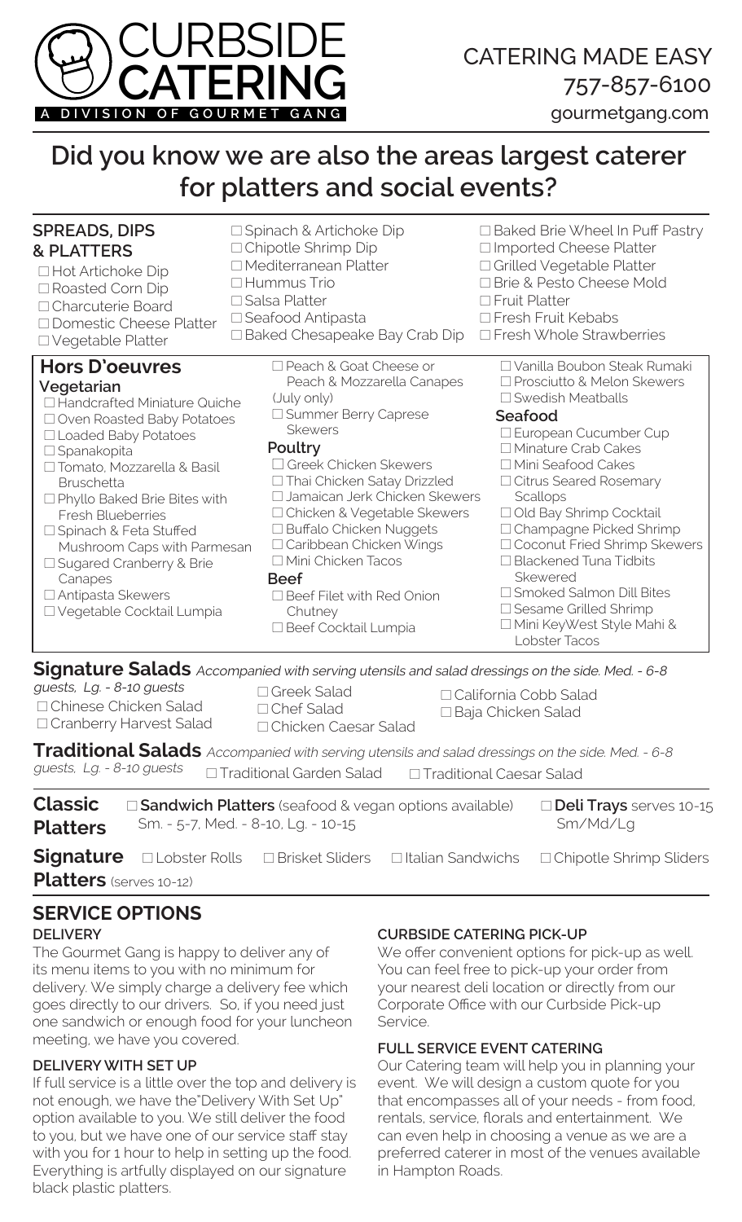

# gourmetgang.com

# **Did you know we are also the areas largest caterer for platters and social events?**

| <b>SPREADS, DIPS</b>                                                                                                                                                                                                                                                                                                                                                                                                                    | □ Spinach & Artichoke Dip                                                                                                                                                                                                                                                                                                                                                                                                            | $\Box$ Baked Brie Wheel In Puff Pastry                                                                                                                                                                                                                                                                                                                                                                                                                                          |
|-----------------------------------------------------------------------------------------------------------------------------------------------------------------------------------------------------------------------------------------------------------------------------------------------------------------------------------------------------------------------------------------------------------------------------------------|--------------------------------------------------------------------------------------------------------------------------------------------------------------------------------------------------------------------------------------------------------------------------------------------------------------------------------------------------------------------------------------------------------------------------------------|---------------------------------------------------------------------------------------------------------------------------------------------------------------------------------------------------------------------------------------------------------------------------------------------------------------------------------------------------------------------------------------------------------------------------------------------------------------------------------|
| <b>&amp; PLATTERS</b>                                                                                                                                                                                                                                                                                                                                                                                                                   | □ Chipotle Shrimp Dip                                                                                                                                                                                                                                                                                                                                                                                                                | □ Imported Cheese Platter                                                                                                                                                                                                                                                                                                                                                                                                                                                       |
| □ Hot Artichoke Dip                                                                                                                                                                                                                                                                                                                                                                                                                     | □ Mediterranean Platter                                                                                                                                                                                                                                                                                                                                                                                                              | □ Grilled Vegetable Platter                                                                                                                                                                                                                                                                                                                                                                                                                                                     |
| □ Roasted Corn Dip                                                                                                                                                                                                                                                                                                                                                                                                                      | $\Box$ Hummus Trio                                                                                                                                                                                                                                                                                                                                                                                                                   | □ Brie & Pesto Cheese Mold                                                                                                                                                                                                                                                                                                                                                                                                                                                      |
| □ Charcuterie Board                                                                                                                                                                                                                                                                                                                                                                                                                     | $\square$ Salsa Platter                                                                                                                                                                                                                                                                                                                                                                                                              | $\Box$ Fruit Platter                                                                                                                                                                                                                                                                                                                                                                                                                                                            |
| □ Domestic Cheese Platter                                                                                                                                                                                                                                                                                                                                                                                                               | □ Seafood Antipasta                                                                                                                                                                                                                                                                                                                                                                                                                  | □ Fresh Fruit Kebabs                                                                                                                                                                                                                                                                                                                                                                                                                                                            |
| □ Vegetable Platter                                                                                                                                                                                                                                                                                                                                                                                                                     | $\Box$ Baked Chesapeake Bay Crab Dip                                                                                                                                                                                                                                                                                                                                                                                                 | □ Fresh Whole Strawberries                                                                                                                                                                                                                                                                                                                                                                                                                                                      |
| <b>Hors D'oeuvres</b><br>Vegetarian<br>□ Handcrafted Miniature Quiche<br>□ Oven Roasted Baby Potatoes<br>□ Loaded Baby Potatoes<br>$\Box$ Spanakopita<br>□ Tomato, Mozzarella & Basil<br><b>Bruschetta</b><br>$\Box$ Phyllo Baked Brie Bites with<br><b>Fresh Blueberries</b><br>□ Spinach & Feta Stuffed<br>Mushroom Caps with Parmesan<br>□ Sugared Cranberry & Brie<br>Canapes<br>□ Antipasta Skewers<br>□ Vegetable Cocktail Lumpia | □ Peach & Goat Cheese or<br>Peach & Mozzarella Canapes<br>(July only)<br>□ Summer Berry Caprese<br><b>Skewers</b><br>Poultry<br>Greek Chicken Skewers<br>□ Thai Chicken Satay Drizzled<br>□ Jamaican Jerk Chicken Skewers<br>□ Chicken & Vegetable Skewers<br>□ Buffalo Chicken Nuggets<br>□ Caribbean Chicken Wings<br>□ Mini Chicken Tacos<br><b>Beef</b><br>$\Box$ Beef Filet with Red Onion<br>Chutney<br>□ Beef Cocktail Lumpia | □ Vanilla Boubon Steak Rumaki<br>□ Prosciutto & Melon Skewers<br>$\Box$ Swedish Meatballs<br>Seafood<br>□ European Cucumber Cup<br>□ Minature Crab Cakes<br>□ Mini Seafood Cakes<br>$\Box$ Citrus Seared Rosemary<br>Scallops<br>□ Old Bay Shrimp Cocktail<br>□ Champagne Picked Shrimp<br>□ Coconut Fried Shrimp Skewers<br>$\Box$ Blackened Tuna Tidbits<br>Skewered<br>□ Smoked Salmon Dill Bites<br>□ Sesame Grilled Shrimp<br>□ Mini KeyWest Style Mahi &<br>Lobster Tacos |

**Signature Salads** Accompanied with serving utensils and salad dressings on the side. Med. - 6-8

□ Chinese Chicken Salad □ Cranberry Harvest Salad guests, Lg. - 8-10 guests

- □ Greek Salad □ Chef Salad □ Chicken Caesar Salad
	-
- □ California Cobb Salad □ Baja Chicken Salad

**Traditional Salads** Accompanied with serving utensils and salad dressings on the side. Med. - 6-8<br>guests, Lg. - 8-10 guests **Contraditional Garden Salad Contraditional Caesar Salad**  $\Box$  Traditional Garden Salad  $\Box$  Traditional Caesar Salad

| <b>Classic</b>  | □ Sandwich Platters (seafood & vegan options available) | <b>Deli Trays</b> serves 10-15 |                                                                                                                      |
|-----------------|---------------------------------------------------------|--------------------------------|----------------------------------------------------------------------------------------------------------------------|
| <b>Platters</b> | Sm. - 5-7, Med. - 8-10, Lg. - 10-15                     |                                | Sm/Md/Lg                                                                                                             |
|                 |                                                         |                                | <b>Signature</b> $\Box$ Lobster Rolls $\Box$ Brisket Sliders $\Box$ Italian Sandwichs $\Box$ Chipotle Shrimp Sliders |

**Platters** (serves 10-12)

# **SERVICE OPTIONS**

## **DELIVERY**

The Gourmet Gang is happy to deliver any of its menu items to you with no minimum for delivery. We simply charge a delivery fee which goes directly to our drivers. So, if you need just one sandwich or enough food for your luncheon meeting, we have you covered.

### **DELIVERY WITH SET UP**

If full service is a little over the top and delivery is not enough, we have the"Delivery With Set Up" option available to you. We still deliver the food to you, but we have one of our service staff stay with you for 1 hour to help in setting up the food. Everything is artfully displayed on our signature black plastic platters.

## **CURBSIDE CATERING PICK-UP**

We offer convenient options for pick-up as well. You can feel free to pick-up your order from your nearest deli location or directly from our Corporate Office with our Curbside Pick-up Service.

### **FULL SERVICE EVENT CATERING**

Our Catering team will help you in planning your event. We will design a custom quote for you that encompasses all of your needs - from food, rentals, service, florals and entertainment. We can even help in choosing a venue as we are a preferred caterer in most of the venues available in Hampton Roads.